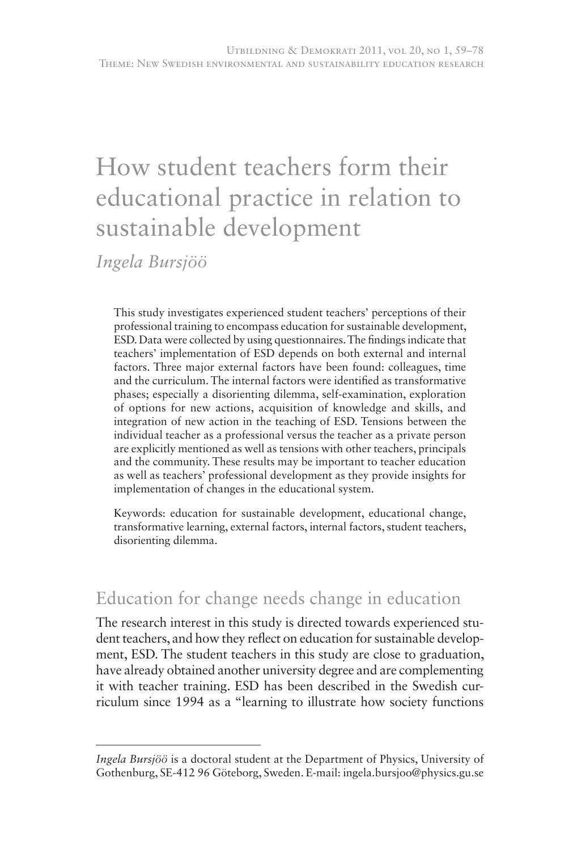# How student teachers form their educational practice in relation to sustainable development

*Ingela Bursjöö*

This study investigates experienced student teachers' perceptions of their professional training to encompass education for sustainable development, ESD. Data were collected by using questionnaires. The findings indicate that teachers' implementation of ESD depends on both external and internal factors. Three major external factors have been found: colleagues, time and the curriculum. The internal factors were identified as transformative phases; especially a disorienting dilemma, self-examination, exploration of options for new actions, acquisition of knowledge and skills, and integration of new action in the teaching of ESD. Tensions between the individual teacher as a professional versus the teacher as a private person are explicitly mentioned as well as tensions with other teachers, principals and the community. These results may be important to teacher education as well as teachers' professional development as they provide insights for implementation of changes in the educational system.

Keywords: education for sustainable development, educational change, transformative learning, external factors, internal factors, student teachers, disorienting dilemma.

# Education for change needs change in education

The research interest in this study is directed towards experienced student teachers, and how they reflect on education for sustainable development, ESD. The student teachers in this study are close to graduation, have already obtained another university degree and are complementing it with teacher training. ESD has been described in the Swedish curriculum since 1994 as a "learning to illustrate how society functions

*Ingela Bursjöö* is a doctoral student at the Department of Physics, University of Gothenburg, SE-412 96 Göteborg, Sweden. E-mail: ingela.bursjoo@physics.gu.se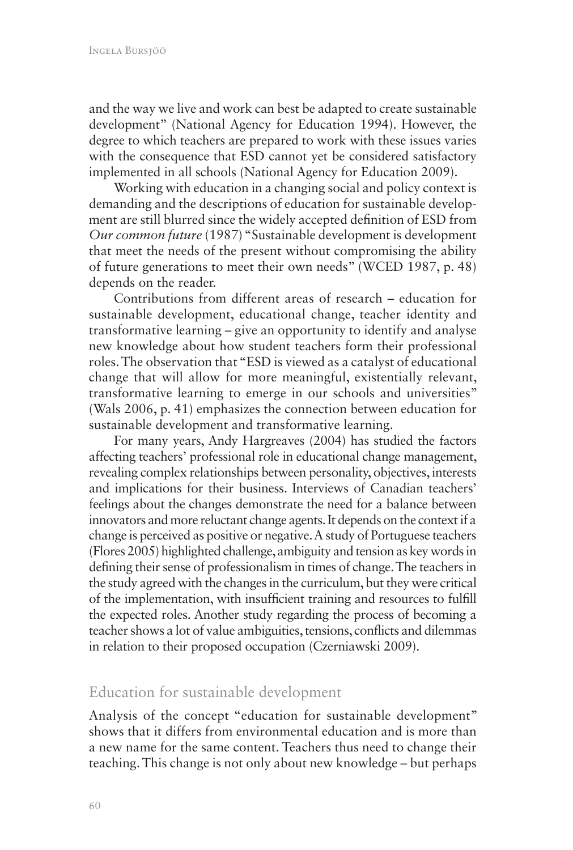and the way we live and work can best be adapted to create sustainable development" (National Agency for Education 1994). However, the degree to which teachers are prepared to work with these issues varies with the consequence that ESD cannot yet be considered satisfactory implemented in all schools (National Agency for Education 2009).

Working with education in a changing social and policy context is demanding and the descriptions of education for sustainable development are still blurred since the widely accepted definition of ESD from *Our common future* (1987) "Sustainable development is development that meet the needs of the present without compromising the ability of future generations to meet their own needs" (WCED 1987, p. 48) depends on the reader.

Contributions from different areas of research – education for sustainable development, educational change, teacher identity and transformative learning – give an opportunity to identify and analyse new knowledge about how student teachers form their professional roles. The observation that "ESD is viewed as a catalyst of educational change that will allow for more meaningful, existentially relevant, transformative learning to emerge in our schools and universities" (Wals 2006, p. 41) emphasizes the connection between education for sustainable development and transformative learning.

For many years, Andy Hargreaves (2004) has studied the factors affecting teachers' professional role in educational change management, revealing complex relationships between personality, objectives, interests and implications for their business. Interviews of Canadian teachers' feelings about the changes demonstrate the need for a balance between innovators and more reluctant change agents. It depends on the context if a change is perceived as positive or negative. A study of Portuguese teachers (Flores 2005) highlighted challenge, ambiguity and tension as key words in defining their sense of professionalism in times of change. The teachers in the study agreed with the changes in the curriculum, but they were critical of the implementation, with insufficient training and resources to fulfill the expected roles. Another study regarding the process of becoming a teacher shows a lot of value ambiguities, tensions, conflicts and dilemmas in relation to their proposed occupation (Czerniawski 2009).

## Education for sustainable development

Analysis of the concept "education for sustainable development" shows that it differs from environmental education and is more than a new name for the same content. Teachers thus need to change their teaching. This change is not only about new knowledge – but perhaps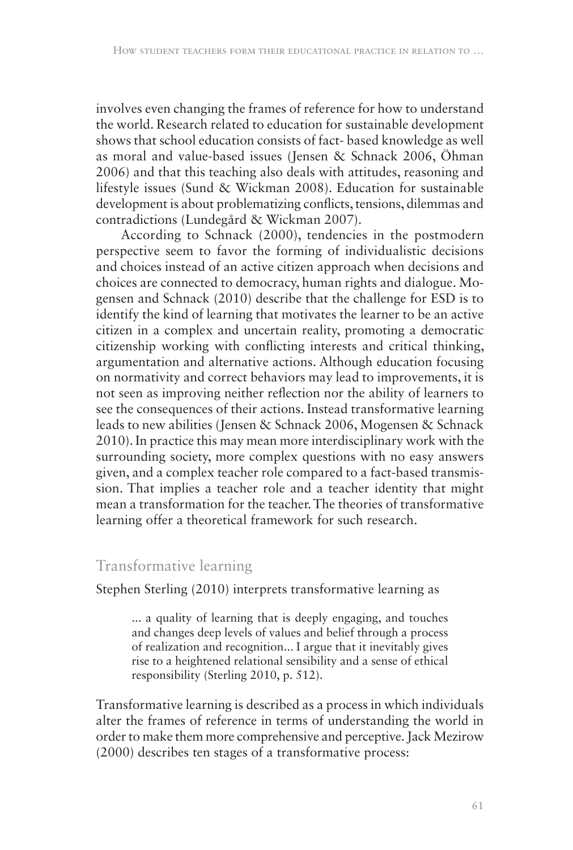involves even changing the frames of reference for how to understand the world. Research related to education for sustainable development shows that school education consists of fact- based knowledge as well as moral and value-based issues (Jensen & Schnack 2006, Öhman 2006) and that this teaching also deals with attitudes, reasoning and lifestyle issues (Sund & Wickman 2008). Education for sustainable development is about problematizing conflicts, tensions, dilemmas and contradictions (Lundegård & Wickman 2007).

According to Schnack (2000), tendencies in the postmodern perspective seem to favor the forming of individualistic decisions and choices instead of an active citizen approach when decisions and choices are connected to democracy, human rights and dialogue. Mogensen and Schnack (2010) describe that the challenge for ESD is to identify the kind of learning that motivates the learner to be an active citizen in a complex and uncertain reality, promoting a democratic citizenship working with conflicting interests and critical thinking, argumentation and alternative actions. Although education focusing on normativity and correct behaviors may lead to improvements, it is not seen as improving neither reflection nor the ability of learners to see the consequences of their actions. Instead transformative learning leads to new abilities (Jensen & Schnack 2006, Mogensen & Schnack 2010). In practice this may mean more interdisciplinary work with the surrounding society, more complex questions with no easy answers given, and a complex teacher role compared to a fact-based transmission. That implies a teacher role and a teacher identity that might mean a transformation for the teacher. The theories of transformative learning offer a theoretical framework for such research.

### Transformative learning

Stephen Sterling (2010) interprets transformative learning as

... a quality of learning that is deeply engaging, and touches and changes deep levels of values and belief through a process of realization and recognition... I argue that it inevitably gives rise to a heightened relational sensibility and a sense of ethical responsibility (Sterling 2010, p. 512).

Transformative learning is described as a process in which individuals alter the frames of reference in terms of understanding the world in order to make them more comprehensive and perceptive. Jack Mezirow (2000) describes ten stages of a transformative process: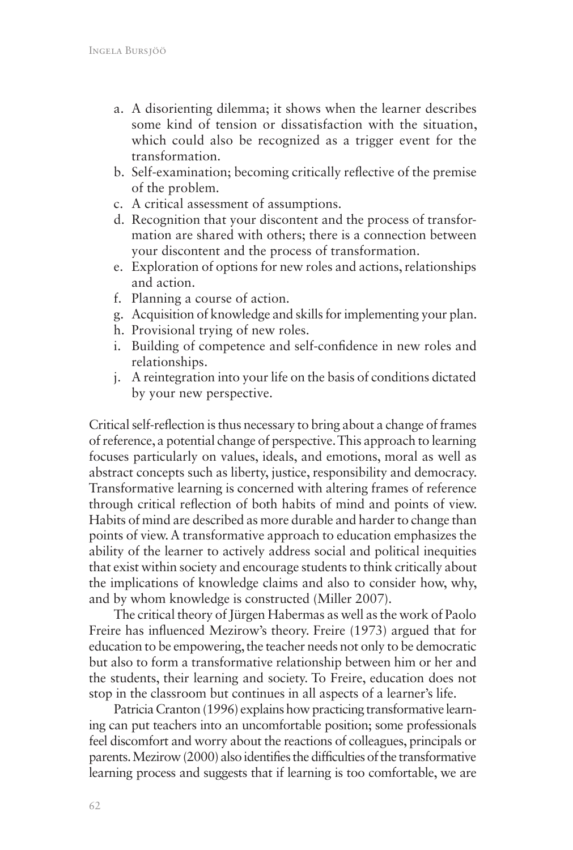- a. A disorienting dilemma; it shows when the learner describes some kind of tension or dissatisfaction with the situation, which could also be recognized as a trigger event for the transformation.
- b. Self-examination; becoming critically reflective of the premise of the problem.
- c. A critical assessment of assumptions.
- d. Recognition that your discontent and the process of transformation are shared with others; there is a connection between your discontent and the process of transformation.
- e. Exploration of options for new roles and actions, relationships and action.
- f. Planning a course of action.
- g. Acquisition of knowledge and skills for implementing your plan.
- h. Provisional trying of new roles.
- i. Building of competence and self-confidence in new roles and relationships.
- j. A reintegration into your life on the basis of conditions dictated by your new perspective.

Critical self-reflection is thus necessary to bring about a change of frames of reference, a potential change of perspective. This approach to learning focuses particularly on values, ideals, and emotions, moral as well as abstract concepts such as liberty, justice, responsibility and democracy. Transformative learning is concerned with altering frames of reference through critical reflection of both habits of mind and points of view. Habits of mind are described as more durable and harder to change than points of view. A transformative approach to education emphasizes the ability of the learner to actively address social and political inequities that exist within society and encourage students to think critically about the implications of knowledge claims and also to consider how, why, and by whom knowledge is constructed (Miller 2007).

The critical theory of Jürgen Habermas as well as the work of Paolo Freire has influenced Mezirow's theory. Freire (1973) argued that for education to be empowering, the teacher needs not only to be democratic but also to form a transformative relationship between him or her and the students, their learning and society. To Freire, education does not stop in the classroom but continues in all aspects of a learner's life.

Patricia Cranton (1996) explains how practicing transformative learning can put teachers into an uncomfortable position; some professionals feel discomfort and worry about the reactions of colleagues, principals or parents. Mezirow (2000) also identifies the difficulties of the transformative learning process and suggests that if learning is too comfortable, we are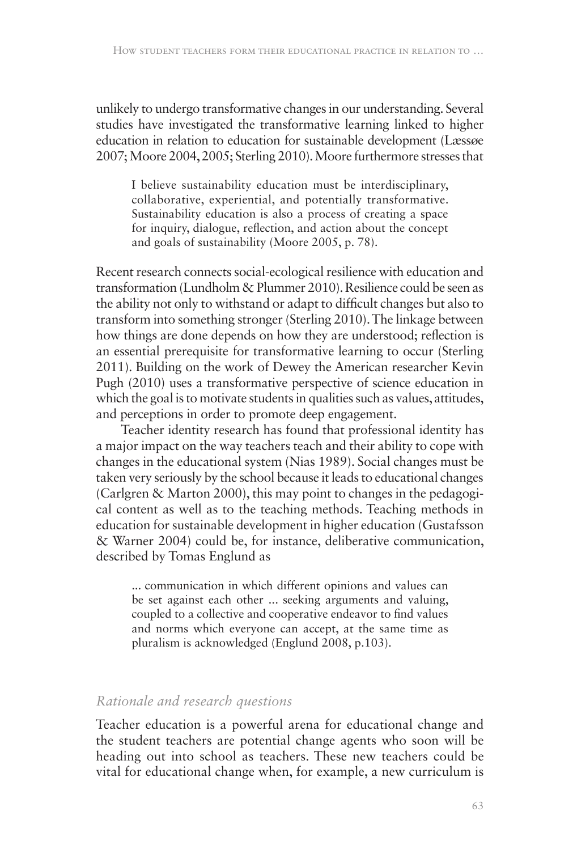unlikely to undergo transformative changes in our understanding. Several studies have investigated the transformative learning linked to higher education in relation to education for sustainable development (Læssøe 2007; Moore 2004, 2005; Sterling 2010). Moore furthermore stresses that

I believe sustainability education must be interdisciplinary, collaborative, experiential, and potentially transformative. Sustainability education is also a process of creating a space for inquiry, dialogue, reflection, and action about the concept and goals of sustainability (Moore 2005, p. 78).

Recent research connects social-ecological resilience with education and transformation (Lundholm & Plummer 2010). Resilience could be seen as the ability not only to withstand or adapt to difficult changes but also to transform into something stronger (Sterling 2010). The linkage between how things are done depends on how they are understood; reflection is an essential prerequisite for transformative learning to occur (Sterling 2011). Building on the work of Dewey the American researcher Kevin Pugh (2010) uses a transformative perspective of science education in which the goal is to motivate students in qualities such as values, attitudes, and perceptions in order to promote deep engagement.

Teacher identity research has found that professional identity has a major impact on the way teachers teach and their ability to cope with changes in the educational system (Nias 1989). Social changes must be taken very seriously by the school because it leads to educational changes (Carlgren & Marton 2000), this may point to changes in the pedagogical content as well as to the teaching methods. Teaching methods in education for sustainable development in higher education (Gustafsson & Warner 2004) could be, for instance, deliberative communication, described by Tomas Englund as

... communication in which different opinions and values can be set against each other ... seeking arguments and valuing, coupled to a collective and cooperative endeavor to find values and norms which everyone can accept, at the same time as pluralism is acknowledged (Englund 2008, p.103).

#### *Rationale and research questions*

Teacher education is a powerful arena for educational change and the student teachers are potential change agents who soon will be heading out into school as teachers. These new teachers could be vital for educational change when, for example, a new curriculum is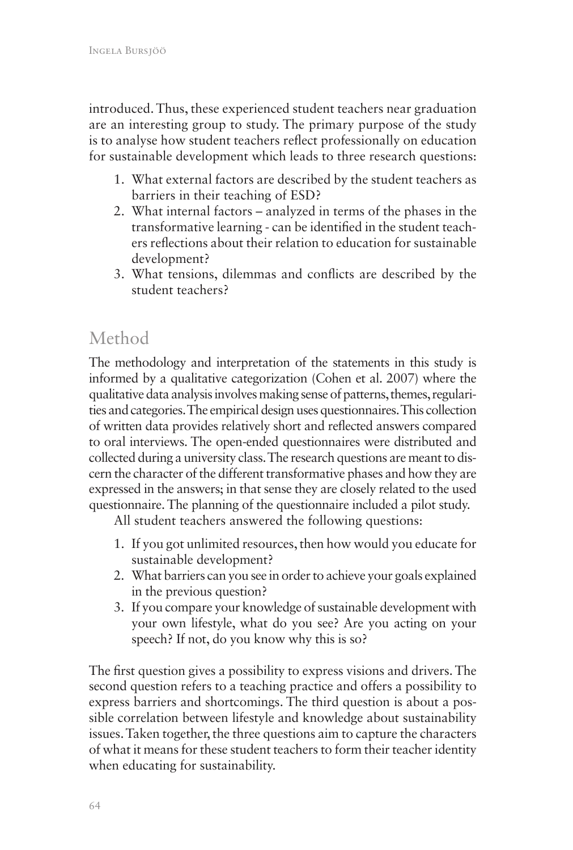introduced. Thus, these experienced student teachers near graduation are an interesting group to study. The primary purpose of the study is to analyse how student teachers reflect professionally on education for sustainable development which leads to three research questions:

- 1. What external factors are described by the student teachers as barriers in their teaching of ESD?
- 2. What internal factors analyzed in terms of the phases in the transformative learning - can be identified in the student teachers reflections about their relation to education for sustainable development?
- 3. What tensions, dilemmas and conflicts are described by the student teachers?

# Method

The methodology and interpretation of the statements in this study is informed by a qualitative categorization (Cohen et al. 2007) where the qualitative data analysis involves making sense of patterns, themes, regularities and categories. The empirical design uses questionnaires. This collection of written data provides relatively short and reflected answers compared to oral interviews. The open-ended questionnaires were distributed and collected during a university class. The research questions are meant to discern the character of the different transformative phases and how they are expressed in the answers; in that sense they are closely related to the used questionnaire. The planning of the questionnaire included a pilot study.

All student teachers answered the following questions:

- 1. If you got unlimited resources, then how would you educate for sustainable development?
- 2. What barriers can you see in order to achieve your goals explained in the previous question?
- 3. If you compare your knowledge of sustainable development with your own lifestyle, what do you see? Are you acting on your speech? If not, do you know why this is so?

The first question gives a possibility to express visions and drivers. The second question refers to a teaching practice and offers a possibility to express barriers and shortcomings. The third question is about a possible correlation between lifestyle and knowledge about sustainability issues. Taken together, the three questions aim to capture the characters of what it means for these student teachers to form their teacher identity when educating for sustainability.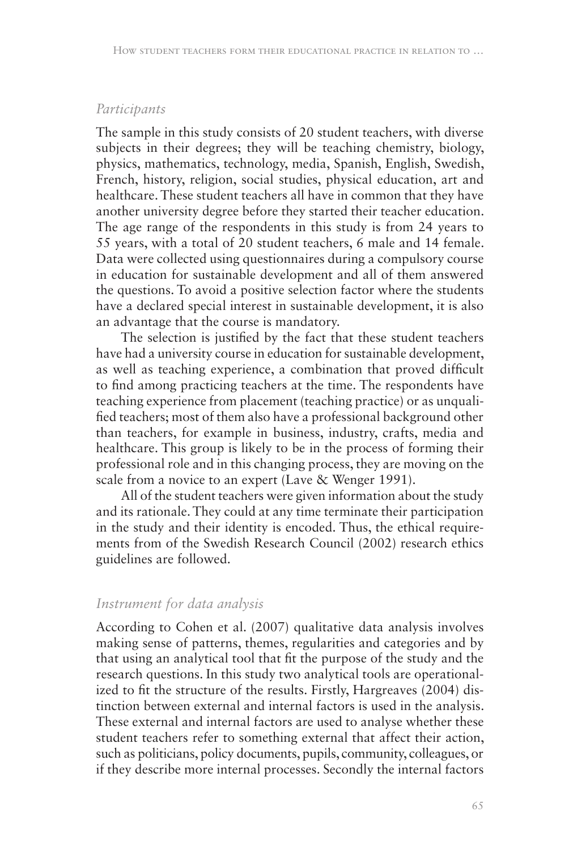#### *Participants*

The sample in this study consists of 20 student teachers, with diverse subjects in their degrees; they will be teaching chemistry, biology, physics, mathematics, technology, media, Spanish, English, Swedish, French, history, religion, social studies, physical education, art and healthcare. These student teachers all have in common that they have another university degree before they started their teacher education. The age range of the respondents in this study is from 24 years to 55 years, with a total of 20 student teachers, 6 male and 14 female. Data were collected using questionnaires during a compulsory course in education for sustainable development and all of them answered the questions. To avoid a positive selection factor where the students have a declared special interest in sustainable development, it is also an advantage that the course is mandatory.

The selection is justified by the fact that these student teachers have had a university course in education for sustainable development, as well as teaching experience, a combination that proved difficult to find among practicing teachers at the time. The respondents have teaching experience from placement (teaching practice) or as unqualified teachers; most of them also have a professional background other than teachers, for example in business, industry, crafts, media and healthcare. This group is likely to be in the process of forming their professional role and in this changing process, they are moving on the scale from a novice to an expert (Lave & Wenger 1991).

All of the student teachers were given information about the study and its rationale. They could at any time terminate their participation in the study and their identity is encoded. Thus, the ethical requirements from of the Swedish Research Council (2002) research ethics guidelines are followed.

#### *Instrument for data analysis*

According to Cohen et al. (2007) qualitative data analysis involves making sense of patterns, themes, regularities and categories and by that using an analytical tool that fit the purpose of the study and the research questions. In this study two analytical tools are operationalized to fit the structure of the results. Firstly, Hargreaves (2004) distinction between external and internal factors is used in the analysis. These external and internal factors are used to analyse whether these student teachers refer to something external that affect their action, such as politicians, policy documents, pupils, community, colleagues, or if they describe more internal processes. Secondly the internal factors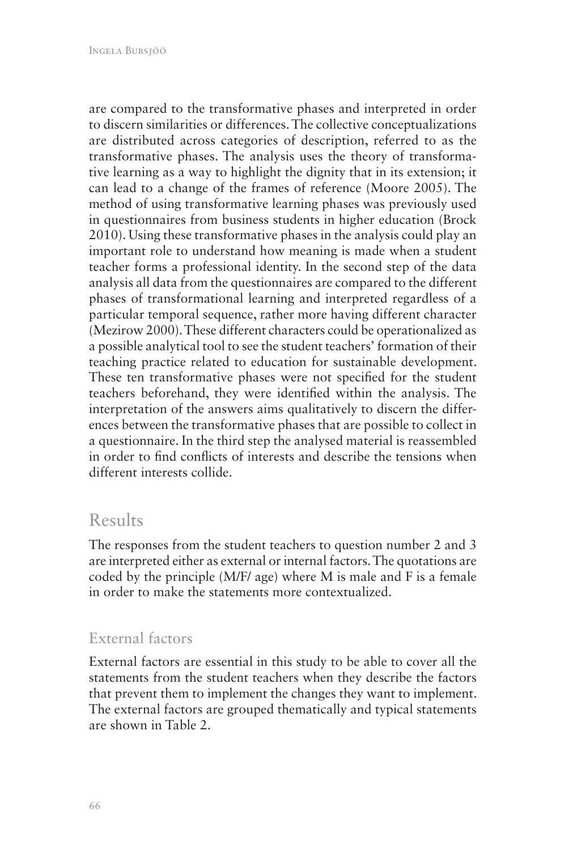are compared to the transformative phases and interpreted in order to discern similarities or differences. The collective conceptualizations are distributed across categories of description, referred to as the transformative phases. The analysis uses the theory of transformative learning as a way to highlight the dignity that in its extension; it can lead to a change of the frames of reference (Moore 2005). The method of using transformative learning phases was previously used in questionnaires from business students in higher education (Brock 2010). Using these transformative phases in the analysis could play an important role to understand how meaning is made when a student teacher forms a professional identity. In the second step of the data analysis all data from the questionnaires are compared to the different phases of transformational learning and interpreted regardless of a particular temporal sequence, rather more having different character (Mezirow 2000). These different characters could be operationalized as a possible analytical tool to see the student teachers' formation of their teaching practice related to education for sustainable development. These ten transformative phases were not specified for the student teachers beforehand, they were identified within the analysis. The interpretation of the answers aims qualitatively to discern the differences between the transformative phases that are possible to collect in a questionnaire. In the third step the analysed material is reassembled in order to find conflicts of interests and describe the tensions when different interests collide.

# Results

The responses from the student teachers to question number 2 and 3 are interpreted either as external or internal factors. The quotations are coded by the principle (M/F/ age) where M is male and F is a female in order to make the statements more contextualized.

### External factors

External factors are essential in this study to be able to cover all the statements from the student teachers when they describe the factors that prevent them to implement the changes they want to implement. The external factors are grouped thematically and typical statements are shown in Table 2.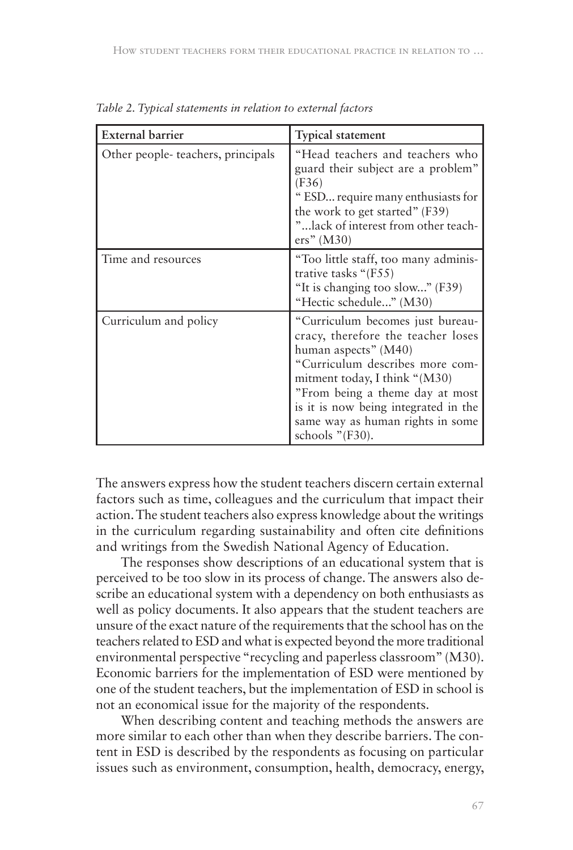| <b>External barrier</b>           | Typical statement                                                                                                                                                                                                                                                                                       |
|-----------------------------------|---------------------------------------------------------------------------------------------------------------------------------------------------------------------------------------------------------------------------------------------------------------------------------------------------------|
| Other people-teachers, principals | "Head teachers and teachers who<br>guard their subject are a problem"<br>(F36)<br>" ESD require many enthusiasts for<br>the work to get started" (F39)<br>" lack of interest from other teach-<br>ers" (M30)                                                                                            |
| Time and resources                | "Too little staff, too many adminis-<br>trative tasks " $(F55)$<br>"It is changing too slow" (F39)<br>"Hectic schedule" (M30)                                                                                                                                                                           |
| Curriculum and policy             | "Curriculum becomes just bureau-<br>cracy, therefore the teacher loses<br>human aspects" (M40)<br>"Curriculum describes more com-<br>mitment today, I think "(M30)<br>"From being a theme day at most<br>is it is now being integrated in the<br>same way as human rights in some<br>schools $"$ (F30). |

*Table 2. Typical statements in relation to external factors*

The answers express how the student teachers discern certain external factors such as time, colleagues and the curriculum that impact their action. The student teachers also express knowledge about the writings in the curriculum regarding sustainability and often cite definitions and writings from the Swedish National Agency of Education.

The responses show descriptions of an educational system that is perceived to be too slow in its process of change. The answers also describe an educational system with a dependency on both enthusiasts as well as policy documents. It also appears that the student teachers are unsure of the exact nature of the requirements that the school has on the teachers related to ESD and what is expected beyond the more traditional environmental perspective "recycling and paperless classroom" (M30). Economic barriers for the implementation of ESD were mentioned by one of the student teachers, but the implementation of ESD in school is not an economical issue for the majority of the respondents.

When describing content and teaching methods the answers are more similar to each other than when they describe barriers. The content in ESD is described by the respondents as focusing on particular issues such as environment, consumption, health, democracy, energy,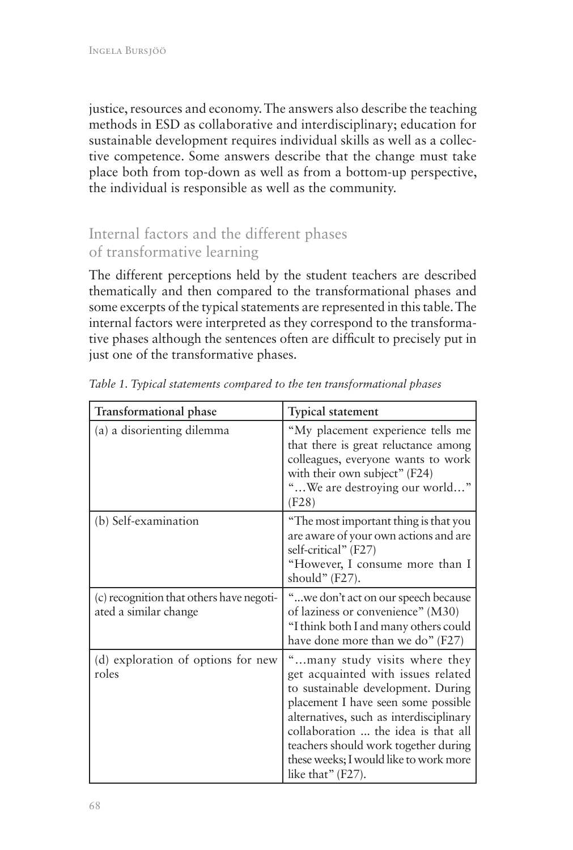justice, resources and economy. The answers also describe the teaching methods in ESD as collaborative and interdisciplinary; education for sustainable development requires individual skills as well as a collective competence. Some answers describe that the change must take place both from top-down as well as from a bottom-up perspective, the individual is responsible as well as the community.

# Internal factors and the different phases of transformative learning

The different perceptions held by the student teachers are described thematically and then compared to the transformational phases and some excerpts of the typical statements are represented in this table. The internal factors were interpreted as they correspond to the transformative phases although the sentences often are difficult to precisely put in just one of the transformative phases.

| <b>Transformational phase</b>                                     | <b>Typical statement</b>                                                                                                                                                                                                                                                                                                                  |
|-------------------------------------------------------------------|-------------------------------------------------------------------------------------------------------------------------------------------------------------------------------------------------------------------------------------------------------------------------------------------------------------------------------------------|
| (a) a disorienting dilemma                                        | "My placement experience tells me<br>that there is great reluctance among<br>colleagues, everyone wants to work<br>with their own subject" (F24)<br>" We are destroying our world"<br>(F28)                                                                                                                                               |
| (b) Self-examination                                              | "The most important thing is that you<br>are aware of your own actions and are<br>self-critical" (F27)<br>"However, I consume more than I<br>should" (F27).                                                                                                                                                                               |
| (c) recognition that others have negoti-<br>ated a similar change | "we don't act on our speech because<br>of laziness or convenience" (M30)<br>"I think both I and many others could<br>have done more than we do" (F27)                                                                                                                                                                                     |
| (d) exploration of options for new<br>roles                       | "many study visits where they<br>get acquainted with issues related<br>to sustainable development. During<br>placement I have seen some possible<br>alternatives, such as interdisciplinary<br>collaboration  the idea is that all<br>teachers should work together during<br>these weeks; I would like to work more<br>like that" (F27). |

*Table 1. Typical statements compared to the ten transformational phases*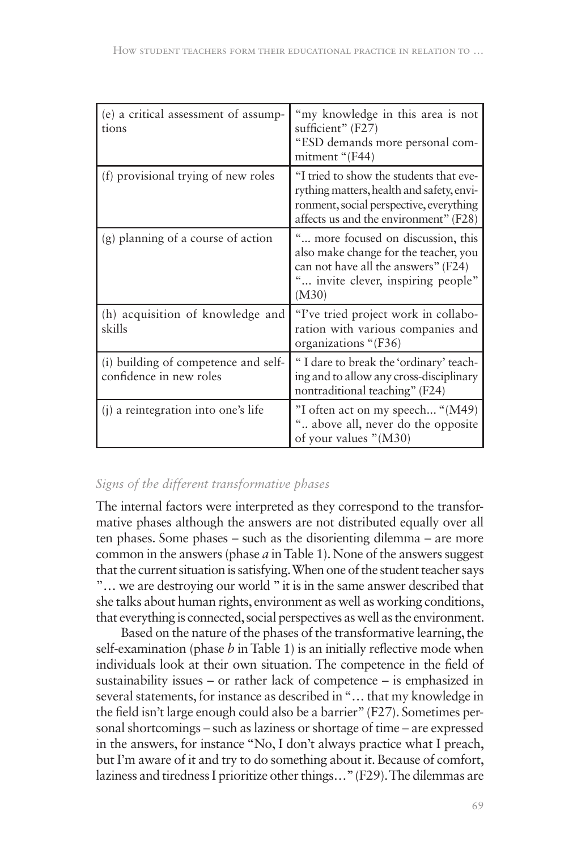| (e) a critical assessment of assump-<br>tions                   | "my knowledge in this area is not<br>sufficient" (F27)<br>"ESD demands more personal com-<br>mitment "(F44)                                                              |
|-----------------------------------------------------------------|--------------------------------------------------------------------------------------------------------------------------------------------------------------------------|
| (f) provisional trying of new roles                             | "I tried to show the students that eve-<br>rything matters, health and safety, envi-<br>ronment, social perspective, everything<br>affects us and the environment" (F28) |
| (g) planning of a course of action                              | more focused on discussion, this<br>also make change for the teacher, you<br>can not have all the answers" (F24)<br>invite clever, inspiring people"<br>(M30)            |
| (h) acquisition of knowledge and<br>skills                      | "I've tried project work in collabo-<br>ration with various companies and<br>organizations "(F36)                                                                        |
| (i) building of competence and self-<br>confidence in new roles | "I dare to break the 'ordinary' teach-<br>ing and to allow any cross-disciplinary<br>nontraditional teaching" (F24)                                                      |
| (j) a reintegration into one's life                             | "I often act on my speech "(M49)<br>" above all, never do the opposite<br>of your values "(M30)                                                                          |

#### *Signs of the different transformative phases*

The internal factors were interpreted as they correspond to the transformative phases although the answers are not distributed equally over all ten phases. Some phases – such as the disorienting dilemma – are more common in the answers (phase *a* in Table 1). None of the answers suggest that the current situation is satisfying. When one of the student teacher says "… we are destroying our world " it is in the same answer described that she talks about human rights, environment as well as working conditions, that everything is connected, social perspectives as well as the environment.

Based on the nature of the phases of the transformative learning, the self-examination (phase *b* in Table 1) is an initially reflective mode when individuals look at their own situation. The competence in the field of sustainability issues – or rather lack of competence – is emphasized in several statements, for instance as described in "… that my knowledge in the field isn't large enough could also be a barrier" (F27). Sometimes personal shortcomings – such as laziness or shortage of time – are expressed in the answers, for instance "No, I don't always practice what I preach, but I'm aware of it and try to do something about it. Because of comfort, laziness and tiredness I prioritize other things…" (F29). The dilemmas are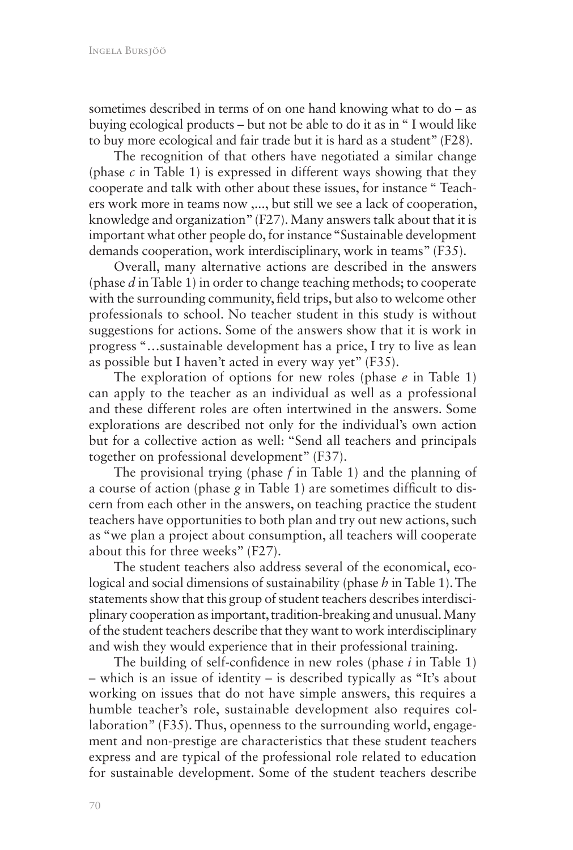sometimes described in terms of on one hand knowing what to do – as buying ecological products – but not be able to do it as in " I would like to buy more ecological and fair trade but it is hard as a student" (F28).

The recognition of that others have negotiated a similar change (phase *c* in Table 1) is expressed in different ways showing that they cooperate and talk with other about these issues, for instance " Teachers work more in teams now ,..., but still we see a lack of cooperation, knowledge and organization" (F27). Many answers talk about that it is important what other people do, for instance "Sustainable development demands cooperation, work interdisciplinary, work in teams" (F35).

Overall, many alternative actions are described in the answers (phase *d* in Table 1) in order to change teaching methods; to cooperate with the surrounding community, field trips, but also to welcome other professionals to school. No teacher student in this study is without suggestions for actions. Some of the answers show that it is work in progress "…sustainable development has a price, I try to live as lean as possible but I haven't acted in every way yet" (F35).

The exploration of options for new roles (phase *e* in Table 1) can apply to the teacher as an individual as well as a professional and these different roles are often intertwined in the answers. Some explorations are described not only for the individual's own action but for a collective action as well: "Send all teachers and principals together on professional development" (F37).

The provisional trying (phase *f* in Table 1) and the planning of a course of action (phase *g* in Table 1) are sometimes difficult to discern from each other in the answers, on teaching practice the student teachers have opportunities to both plan and try out new actions, such as "we plan a project about consumption, all teachers will cooperate about this for three weeks" (F27).

The student teachers also address several of the economical, ecological and social dimensions of sustainability (phase *h* in Table 1). The statements show that this group of student teachers describes interdisciplinary cooperation as important, tradition-breaking and unusual. Many of the student teachers describe that they want to work interdisciplinary and wish they would experience that in their professional training.

The building of self-confidence in new roles (phase *i* in Table 1) – which is an issue of identity – is described typically as "It's about working on issues that do not have simple answers, this requires a humble teacher's role, sustainable development also requires collaboration" (F35). Thus, openness to the surrounding world, engagement and non-prestige are characteristics that these student teachers express and are typical of the professional role related to education for sustainable development. Some of the student teachers describe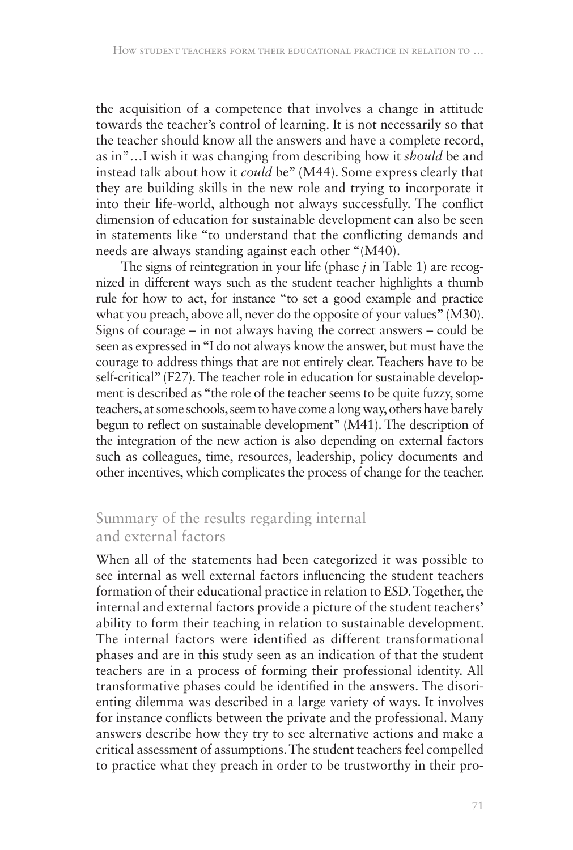the acquisition of a competence that involves a change in attitude towards the teacher's control of learning. It is not necessarily so that the teacher should know all the answers and have a complete record, as in"…I wish it was changing from describing how it *should* be and instead talk about how it *could* be" (M44). Some express clearly that they are building skills in the new role and trying to incorporate it into their life-world, although not always successfully. The conflict dimension of education for sustainable development can also be seen in statements like "to understand that the conflicting demands and needs are always standing against each other "(M40).

The signs of reintegration in your life (phase *j* in Table 1) are recognized in different ways such as the student teacher highlights a thumb rule for how to act, for instance "to set a good example and practice what you preach, above all, never do the opposite of your values" (M30). Signs of courage – in not always having the correct answers – could be seen as expressed in "I do not always know the answer, but must have the courage to address things that are not entirely clear. Teachers have to be self-critical" (F27). The teacher role in education for sustainable development is described as "the role of the teacher seems to be quite fuzzy, some teachers, at some schools, seem to have come a long way, others have barely begun to reflect on sustainable development" (M41). The description of the integration of the new action is also depending on external factors such as colleagues, time, resources, leadership, policy documents and other incentives, which complicates the process of change for the teacher.

# Summary of the results regarding internal and external factors

When all of the statements had been categorized it was possible to see internal as well external factors influencing the student teachers formation of their educational practice in relation to ESD. Together, the internal and external factors provide a picture of the student teachers' ability to form their teaching in relation to sustainable development. The internal factors were identified as different transformational phases and are in this study seen as an indication of that the student teachers are in a process of forming their professional identity. All transformative phases could be identified in the answers. The disorienting dilemma was described in a large variety of ways. It involves for instance conflicts between the private and the professional. Many answers describe how they try to see alternative actions and make a critical assessment of assumptions. The student teachers feel compelled to practice what they preach in order to be trustworthy in their pro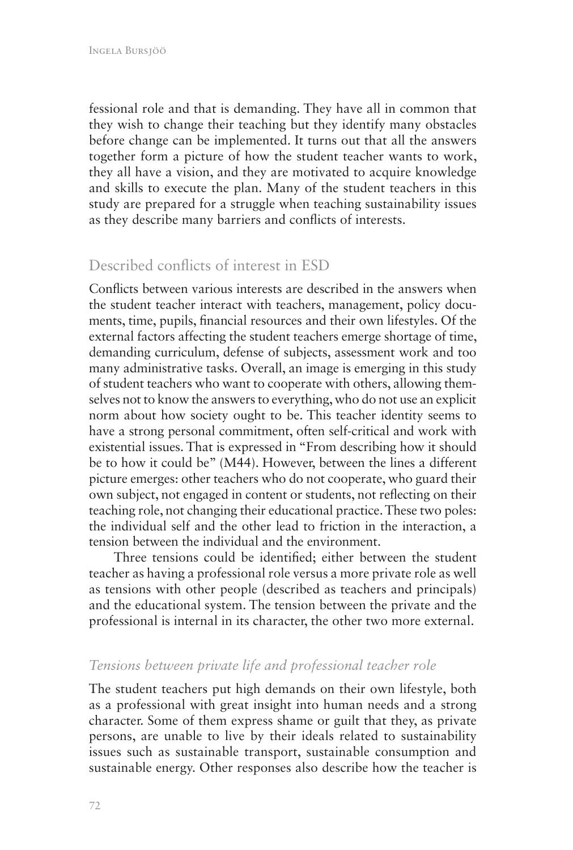fessional role and that is demanding. They have all in common that they wish to change their teaching but they identify many obstacles before change can be implemented. It turns out that all the answers together form a picture of how the student teacher wants to work, they all have a vision, and they are motivated to acquire knowledge and skills to execute the plan. Many of the student teachers in this study are prepared for a struggle when teaching sustainability issues as they describe many barriers and conflicts of interests.

### Described conflicts of interest in ESD

Conflicts between various interests are described in the answers when the student teacher interact with teachers, management, policy documents, time, pupils, financial resources and their own lifestyles. Of the external factors affecting the student teachers emerge shortage of time, demanding curriculum, defense of subjects, assessment work and too many administrative tasks. Overall, an image is emerging in this study of student teachers who want to cooperate with others, allowing themselves not to know the answers to everything, who do not use an explicit norm about how society ought to be. This teacher identity seems to have a strong personal commitment, often self-critical and work with existential issues. That is expressed in "From describing how it should be to how it could be" (M44). However, between the lines a different picture emerges: other teachers who do not cooperate, who guard their own subject, not engaged in content or students, not reflecting on their teaching role, not changing their educational practice. These two poles: the individual self and the other lead to friction in the interaction, a tension between the individual and the environment.

Three tensions could be identified; either between the student teacher as having a professional role versus a more private role as well as tensions with other people (described as teachers and principals) and the educational system. The tension between the private and the professional is internal in its character, the other two more external.

#### *Tensions between private life and professional teacher role*

The student teachers put high demands on their own lifestyle, both as a professional with great insight into human needs and a strong character. Some of them express shame or guilt that they, as private persons, are unable to live by their ideals related to sustainability issues such as sustainable transport, sustainable consumption and sustainable energy. Other responses also describe how the teacher is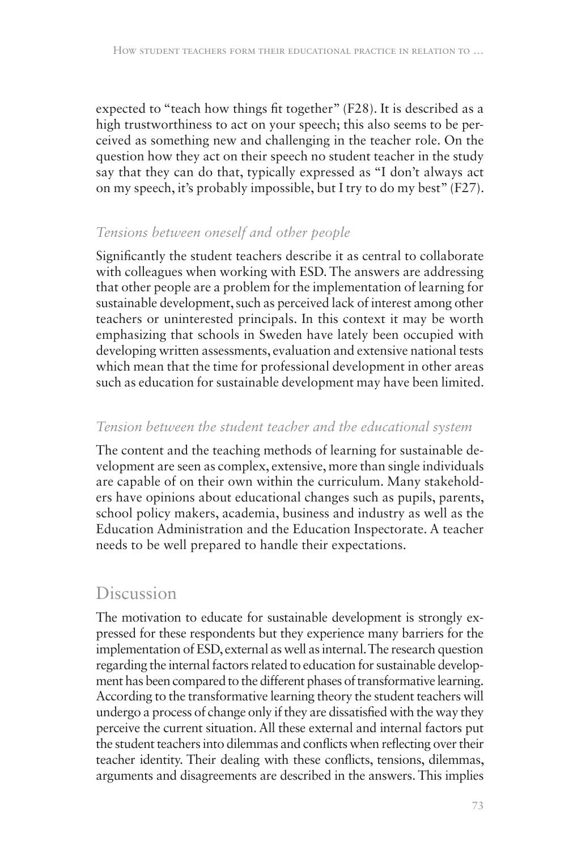expected to "teach how things fit together" (F28). It is described as a high trustworthiness to act on your speech; this also seems to be perceived as something new and challenging in the teacher role. On the question how they act on their speech no student teacher in the study say that they can do that, typically expressed as "I don't always act on my speech, it's probably impossible, but I try to do my best" (F27).

### *Tensions between oneself and other people*

Significantly the student teachers describe it as central to collaborate with colleagues when working with ESD. The answers are addressing that other people are a problem for the implementation of learning for sustainable development, such as perceived lack of interest among other teachers or uninterested principals. In this context it may be worth emphasizing that schools in Sweden have lately been occupied with developing written assessments, evaluation and extensive national tests which mean that the time for professional development in other areas such as education for sustainable development may have been limited.

### *Tension between the student teacher and the educational system*

The content and the teaching methods of learning for sustainable development are seen as complex, extensive, more than single individuals are capable of on their own within the curriculum. Many stakeholders have opinions about educational changes such as pupils, parents, school policy makers, academia, business and industry as well as the Education Administration and the Education Inspectorate. A teacher needs to be well prepared to handle their expectations.

# Discussion

The motivation to educate for sustainable development is strongly expressed for these respondents but they experience many barriers for the implementation of ESD, external as well as internal. The research question regarding the internal factors related to education for sustainable development has been compared to the different phases of transformative learning. According to the transformative learning theory the student teachers will undergo a process of change only if they are dissatisfied with the way they perceive the current situation. All these external and internal factors put the student teachers into dilemmas and conflicts when reflecting over their teacher identity. Their dealing with these conflicts, tensions, dilemmas, arguments and disagreements are described in the answers. This implies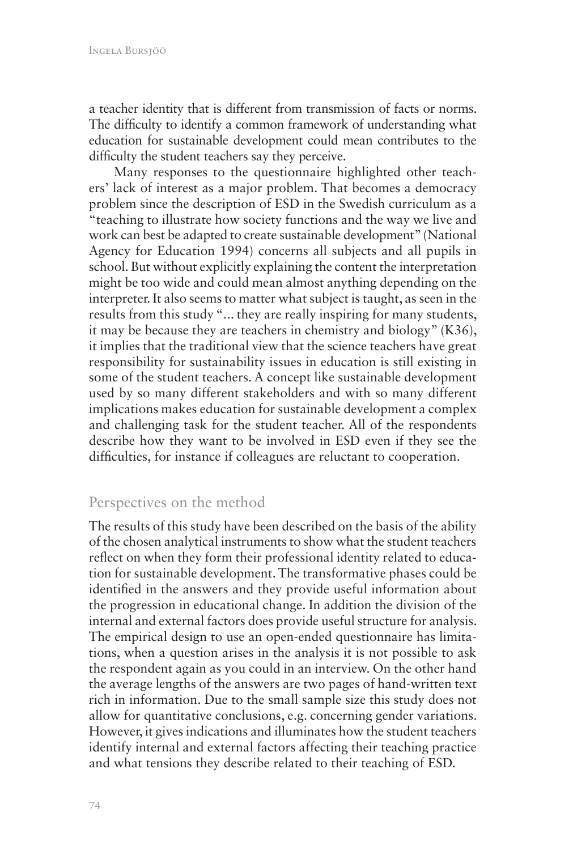a teacher identity that is different from transmission of facts or norms. The difficulty to identify a common framework of understanding what education for sustainable development could mean contributes to the difficulty the student teachers say they perceive.

Many responses to the questionnaire highlighted other teachers' lack of interest as a major problem. That becomes a democracy problem since the description of ESD in the Swedish curriculum as a "teaching to illustrate how society functions and the way we live and work can best be adapted to create sustainable development" (National Agency for Education 1994) concerns all subjects and all pupils in school. But without explicitly explaining the content the interpretation might be too wide and could mean almost anything depending on the interpreter. It also seems to matter what subject is taught, as seen in the results from this study "... they are really inspiring for many students, it may be because they are teachers in chemistry and biology" (K36), it implies that the traditional view that the science teachers have great responsibility for sustainability issues in education is still existing in some of the student teachers. A concept like sustainable development used by so many different stakeholders and with so many different implications makes education for sustainable development a complex and challenging task for the student teacher. All of the respondents describe how they want to be involved in ESD even if they see the difficulties, for instance if colleagues are reluctant to cooperation.

#### Perspectives on the method

The results of this study have been described on the basis of the ability of the chosen analytical instruments to show what the student teachers reflect on when they form their professional identity related to education for sustainable development. The transformative phases could be identified in the answers and they provide useful information about the progression in educational change. In addition the division of the internal and external factors does provide useful structure for analysis. The empirical design to use an open-ended questionnaire has limitations, when a question arises in the analysis it is not possible to ask the respondent again as you could in an interview. On the other hand the average lengths of the answers are two pages of hand-written text rich in information. Due to the small sample size this study does not allow for quantitative conclusions, e.g. concerning gender variations. However, it gives indications and illuminates how the student teachers identify internal and external factors affecting their teaching practice and what tensions they describe related to their teaching of ESD.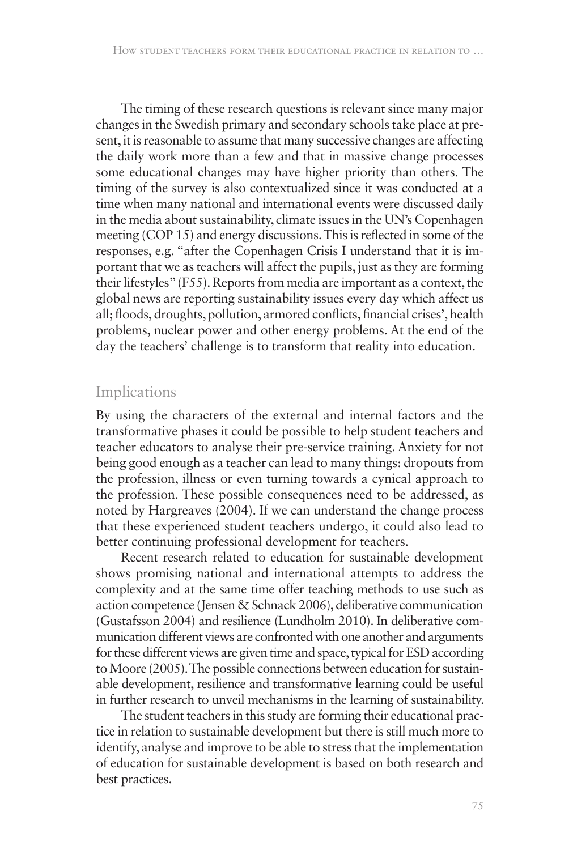The timing of these research questions is relevant since many major changes in the Swedish primary and secondary schools take place at present, it is reasonable to assume that many successive changes are affecting the daily work more than a few and that in massive change processes some educational changes may have higher priority than others. The timing of the survey is also contextualized since it was conducted at a time when many national and international events were discussed daily in the media about sustainability, climate issues in the UN's Copenhagen meeting (COP 15) and energy discussions. This is reflected in some of the responses, e.g. "after the Copenhagen Crisis I understand that it is important that we as teachers will affect the pupils, just as they are forming their lifestyles" (F55). Reports from media are important as a context, the global news are reporting sustainability issues every day which affect us all; floods, droughts, pollution, armored conflicts, financial crises', health problems, nuclear power and other energy problems. At the end of the day the teachers' challenge is to transform that reality into education.

#### Implications

By using the characters of the external and internal factors and the transformative phases it could be possible to help student teachers and teacher educators to analyse their pre-service training. Anxiety for not being good enough as a teacher can lead to many things: dropouts from the profession, illness or even turning towards a cynical approach to the profession. These possible consequences need to be addressed, as noted by Hargreaves (2004). If we can understand the change process that these experienced student teachers undergo, it could also lead to better continuing professional development for teachers.

Recent research related to education for sustainable development shows promising national and international attempts to address the complexity and at the same time offer teaching methods to use such as action competence (Jensen & Schnack 2006), deliberative communication (Gustafsson 2004) and resilience (Lundholm 2010). In deliberative communication different views are confronted with one another and arguments for these different views are given time and space, typical for ESD according to Moore (2005). The possible connections between education for sustainable development, resilience and transformative learning could be useful in further research to unveil mechanisms in the learning of sustainability.

The student teachers in this study are forming their educational practice in relation to sustainable development but there is still much more to identify, analyse and improve to be able to stress that the implementation of education for sustainable development is based on both research and best practices.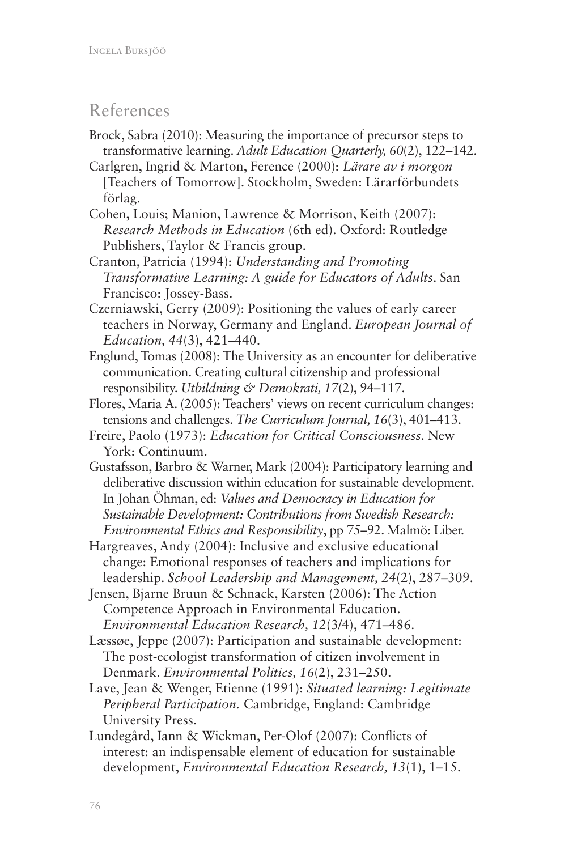# References

- Brock, Sabra (2010): Measuring the importance of precursor steps to transformative learning. *Adult Education Quarterly, 60*(2), 122–142.
- Carlgren, Ingrid & Marton, Ference (2000): *Lärare av i morgon* [Teachers of Tomorrow]. Stockholm, Sweden: Lärarförbundets förlag.
- Cohen, Louis; Manion, Lawrence & Morrison, Keith (2007): *Research Methods in Education* (6th ed). Oxford: Routledge Publishers, Taylor & Francis group.
- Cranton, Patricia (1994): *Understanding and Promoting Transformative Learning: A guide for Educators of Adults*. San Francisco: Jossey-Bass.
- Czerniawski, Gerry (2009): Positioning the values of early career teachers in Norway, Germany and England. *European Journal of Education, 44*(3), 421–440.
- Englund, Tomas (2008): The University as an encounter for deliberative communication. Creating cultural citizenship and professional responsibility. *Utbildning & Demokrati, 17*(2), 94–117.
- Flores, Maria A. (2005): Teachers' views on recent curriculum changes: tensions and challenges. *The Curriculum Journal, 16*(3), 401–413.
- Freire, Paolo (1973): *Education for Critical Consciousness*. New York: Continuum.
- Gustafsson, Barbro & Warner, Mark (2004): Participatory learning and deliberative discussion within education for sustainable development. In Johan Öhman, ed: *Values and Democracy in Education for Sustainable Development: Contributions from Swedish Research: Environmental Ethics and Responsibility*, pp 75–92. Malmö: Liber.
- Hargreaves, Andy (2004): Inclusive and exclusive educational change: Emotional responses of teachers and implications for leadership. *School Leadership and Management, 24*(2), 287–309.
- Jensen, Bjarne Bruun & Schnack, Karsten (2006): The Action Competence Approach in Environmental Education. *Environmental Education Research, 12*(3/4), 471–486.
- Læssøe, Jeppe (2007): Participation and sustainable development: The post-ecologist transformation of citizen involvement in Denmark. *Environmental Politics, 16*(2), 231–250.
- Lave, Jean & Wenger, Etienne (1991): *Situated learning: Legitimate Peripheral Participation.* Cambridge, England: Cambridge University Press.
- Lundegård, Iann & Wickman, Per-Olof (2007): Conflicts of interest: an indispensable element of education for sustainable development, *Environmental Education Research, 13*(1), 1–15.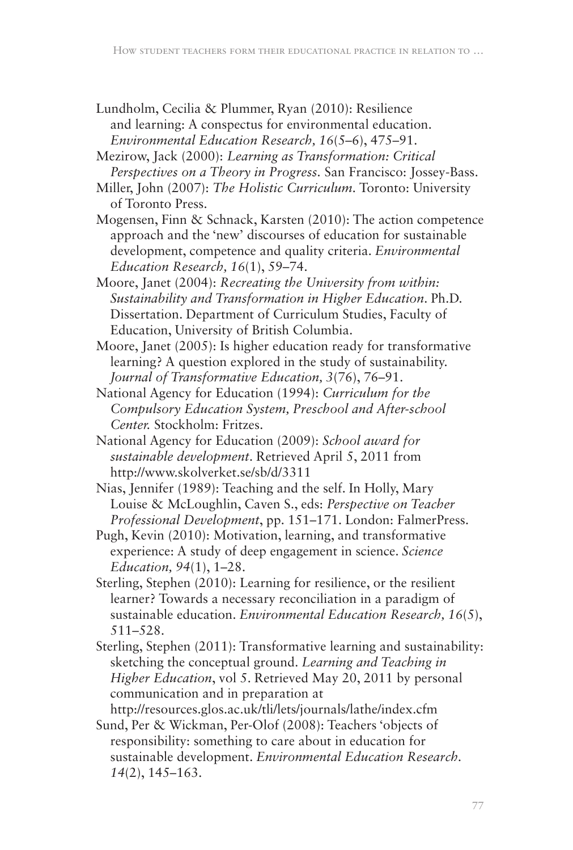Lundholm, Cecilia & Plummer, Ryan (2010): Resilience and learning: A conspectus for environmental education. *Environmental Education Research, 16*(5–6), 475–91.

Mezirow, Jack (2000): *Learning as Transformation: Critical Perspectives on a Theory in Progress.* San Francisco: Jossey-Bass.

- Miller, John (2007): *The Holistic Curriculum.* Toronto: University of Toronto Press.
- Mogensen, Finn & Schnack, Karsten (2010): The action competence approach and the 'new' discourses of education for sustainable development, competence and quality criteria. *Environmental Education Research, 16*(1), 59–74.
- Moore, Janet (2004): *Recreating the University from within: Sustainability and Transformation in Higher Education*. Ph.D. Dissertation. Department of Curriculum Studies, Faculty of Education, University of British Columbia.
- Moore, Janet (2005): Is higher education ready for transformative learning? A question explored in the study of sustainability. *Journal of Transformative Education, 3*(76), 76–91.
- National Agency for Education (1994): *Curriculum for the Compulsory Education System, Preschool and After-school Center.* Stockholm: Fritzes.
- National Agency for Education (2009): *School award for sustainable development*. Retrieved April 5, 2011 from http://www.skolverket.se/sb/d/3311

Nias, Jennifer (1989): Teaching and the self. In Holly, Mary Louise & McLoughlin, Caven S., eds: *Perspective on Teacher Professional Development*, pp. 151–171. London: FalmerPress.

Pugh, Kevin (2010): Motivation, learning, and transformative experience: A study of deep engagement in science. *Science Education, 94*(1), 1–28.

- Sterling, Stephen (2010): Learning for resilience, or the resilient learner? Towards a necessary reconciliation in a paradigm of sustainable education. *Environmental Education Research, 16*(5), 511–528.
- Sterling, Stephen (2011): Transformative learning and sustainability: sketching the conceptual ground. *Learning and Teaching in Higher Education*, vol 5. Retrieved May 20, 2011 by personal communication and in preparation at

http://resources.glos.ac.uk/tli/lets/journals/lathe/index.cfm Sund, Per & Wickman, Per-Olof (2008): Teachers 'objects of responsibility: something to care about in education for sustainable development. *Environmental Education Research. 14*(2), 145–163.